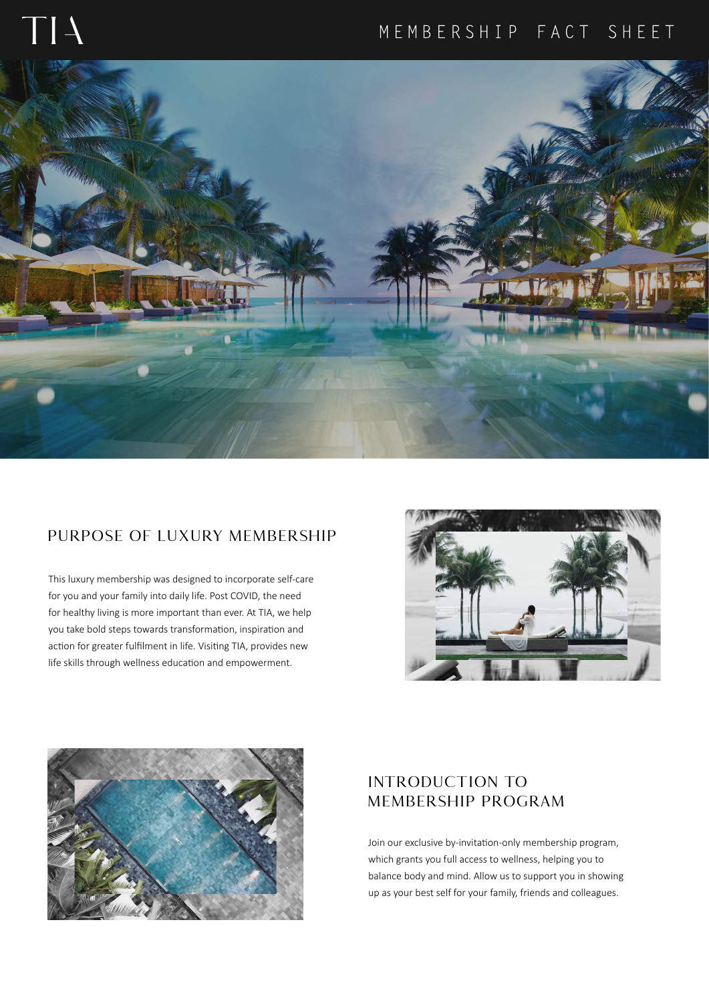# MEMBERSHIP FACT SHEET



# **PURPOSE OF LUXURY MEMBERSHIP**

This luxury membership was designed to incorporate self-care for you and your family into daily life. Post COVID, the need for healthy living is more important than ever. At TIA, we help you take bold steps towards transformation, inspiration and action for greater fulfilment in life. Visiting TIA, provides new life skills through wellness education and empowerment.





# **INTRODUCTION TO MEMBERSHIP PROGRAM**

Join our exclusive by-invitation-only membership program, which grants you full access to wellness, helping you to balance body and mind. Allow us to support you in showing up as your best self for your family, friends and colleagues.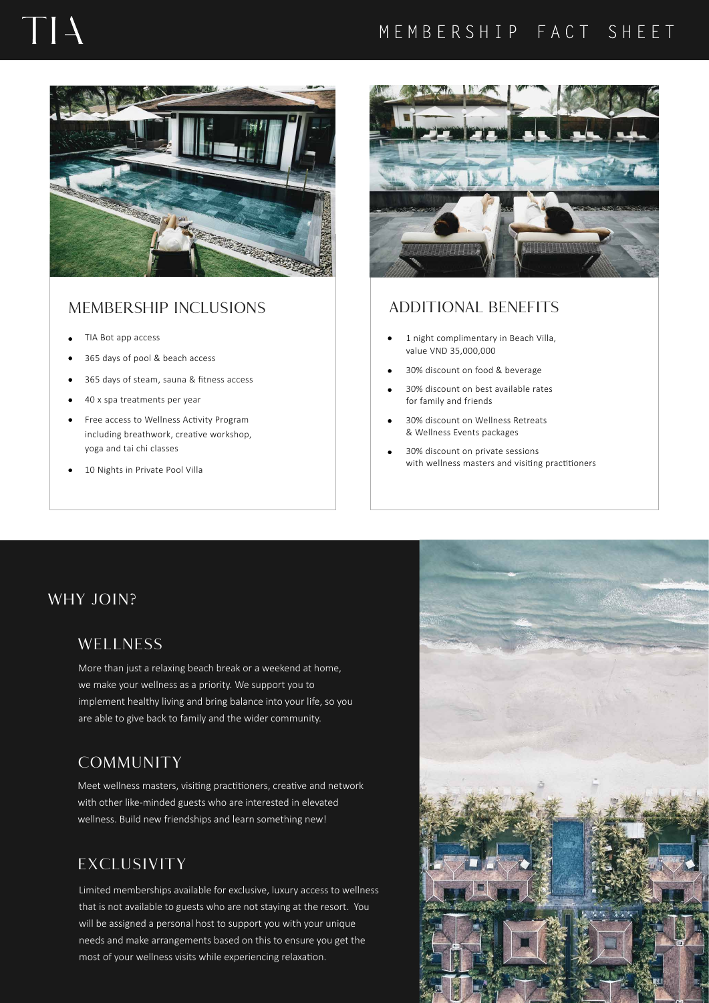# $\mathbf{L}$

# MEMBERSHIP FACT SHEET



### **MEMBERSHIP INCLUSIONS ADDITIONAL BENEFITS**

- TIA Bot app access
- 365 days of pool & beach access
- 365 days of steam, sauna & fitness access  $\bullet$
- 40 x spa treatments per year  $\bullet$
- Free access to Wellness Activity Program  $\bullet$ including breathwork, creative workshop, yoga and tai chi classes
- 10 Nights in Private Pool Villa



- 1 night complimentary in Beach Villa, value VND 35,000,000
- 30% discount on food & beverage
- 30% discount on best available rates for family and friends
- 30% discount on Wellness Retreats & Wellness Events packages
- 30% discount on private sessions with wellness masters and visiting practitioners

# **WHY JOIN?**

### **WELLNESS**

More than just a relaxing beach break or a weekend at home, we make your wellness as a priority. We support you to implement healthy living and bring balance into your life, so you are able to give back to family and the wider community.

# **COMMUNITY**

Meet wellness masters, visiting practitioners, creative and network with other like-minded guests who are interested in elevated wellness. Build new friendships and learn something new!

# **EXCLUSIVITY**

Limited memberships available for exclusive, luxury access to wellness that is not available to guests who are not staying at the resort. You will be assigned a personal host to support you with your unique needs and make arrangements based on this to ensure you get the most of your wellness visits while experiencing relaxation.